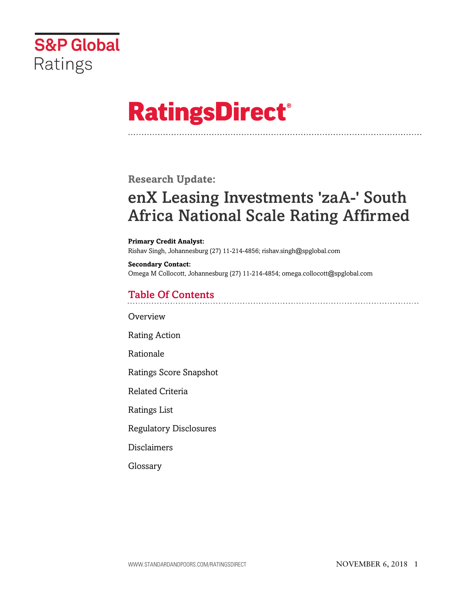

# **RatingsDirect®**

**Research Update:**

## enX Leasing Investments 'zaA-' South Africa National Scale Rating Affirmed

**Primary Credit Analyst:** Rishav Singh, Johannesburg (27) 11-214-4856; rishav.singh@spglobal.com

**Secondary Contact:** Omega M Collocott, Johannesburg (27) 11-214-4854; omega.collocott@spglobal.com

### Table Of Contents

**[Overview](#page-1-0)** 

[Rating Action](#page-1-1)

[Rationale](#page-1-2)

[Ratings Score Snapshot](#page-2-0)

[Related Criteria](#page-3-0)

[Ratings List](#page-3-1)

[Regulatory Disclosures](#page-3-2)

[Disclaimers](#page-3-3)

[Glossary](#page-4-0)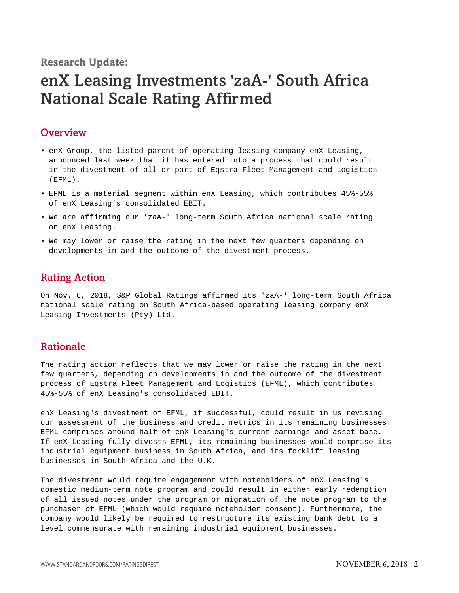**Research Update:**

### enX Leasing Investments 'zaA-' South Africa National Scale Rating Affirmed

#### <span id="page-1-0"></span>**Overview**

- enX Group, the listed parent of operating leasing company enX Leasing, announced last week that it has entered into a process that could result in the divestment of all or part of Eqstra Fleet Management and Logistics (EFML).
- EFML is a material segment within enX Leasing, which contributes 45%-55% of enX Leasing's consolidated EBIT.
- We are affirming our 'zaA-' long-term South Africa national scale rating on enX Leasing.
- We may lower or raise the rating in the next few quarters depending on developments in and the outcome of the divestment process.

#### <span id="page-1-1"></span>Rating Action

On Nov. 6, 2018, S&P Global Ratings affirmed its 'zaA-' long-term South Africa national scale rating on South Africa-based operating leasing company enX Leasing Investments (Pty) Ltd.

#### <span id="page-1-2"></span>Rationale

The rating action reflects that we may lower or raise the rating in the next few quarters, depending on developments in and the outcome of the divestment process of Eqstra Fleet Management and Logistics (EFML), which contributes 45%-55% of enX Leasing's consolidated EBIT.

enX Leasing's divestment of EFML, if successful, could result in us revising our assessment of the business and credit metrics in its remaining businesses. EFML comprises around half of enX Leasing's current earnings and asset base. If enX Leasing fully divests EFML, its remaining businesses would comprise its industrial equipment business in South Africa, and its forklift leasing businesses in South Africa and the U.K.

The divestment would require engagement with noteholders of enX Leasing's domestic medium-term note program and could result in either early redemption of all issued notes under the program or migration of the note program to the purchaser of EFML (which would require noteholder consent). Furthermore, the company would likely be required to restructure its existing bank debt to a level commensurate with remaining industrial equipment businesses.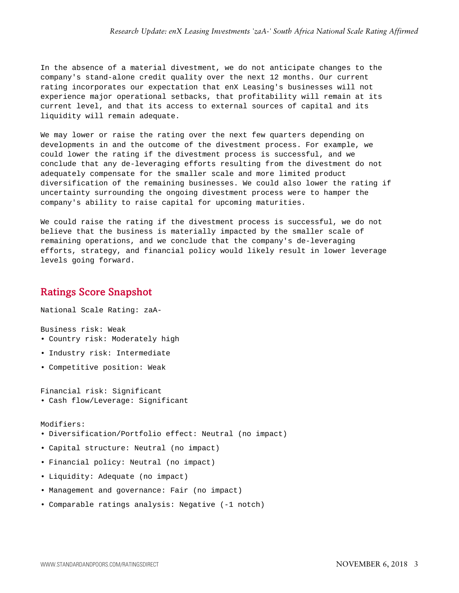In the absence of a material divestment, we do not anticipate changes to the company's stand-alone credit quality over the next 12 months. Our current rating incorporates our expectation that enX Leasing's businesses will not experience major operational setbacks, that profitability will remain at its current level, and that its access to external sources of capital and its liquidity will remain adequate.

We may lower or raise the rating over the next few quarters depending on developments in and the outcome of the divestment process. For example, we could lower the rating if the divestment process is successful, and we conclude that any de-leveraging efforts resulting from the divestment do not adequately compensate for the smaller scale and more limited product diversification of the remaining businesses. We could also lower the rating if uncertainty surrounding the ongoing divestment process were to hamper the company's ability to raise capital for upcoming maturities.

We could raise the rating if the divestment process is successful, we do not believe that the business is materially impacted by the smaller scale of remaining operations, and we conclude that the company's de-leveraging efforts, strategy, and financial policy would likely result in lower leverage levels going forward.

#### <span id="page-2-0"></span>Ratings Score Snapshot

National Scale Rating: zaA-

Business risk: Weak

- Country risk: Moderately high
- Industry risk: Intermediate
- Competitive position: Weak

Financial risk: Significant • Cash flow/Leverage: Significant

Modifiers:

- Diversification/Portfolio effect: Neutral (no impact)
- Capital structure: Neutral (no impact)
- Financial policy: Neutral (no impact)
- Liquidity: Adequate (no impact)
- Management and governance: Fair (no impact)
- Comparable ratings analysis: Negative (-1 notch)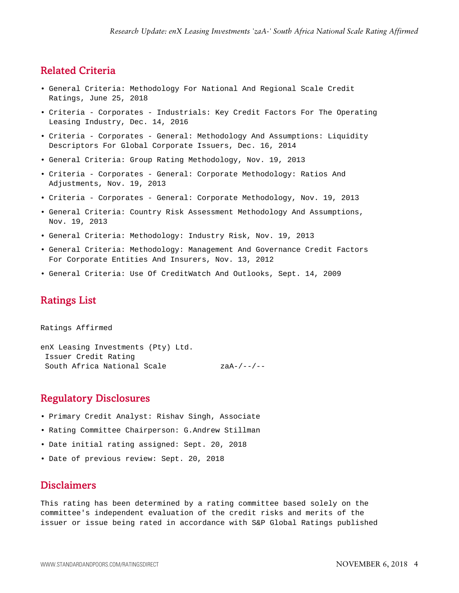#### <span id="page-3-0"></span>Related Criteria

- General Criteria: Methodology For National And Regional Scale Credit Ratings, June 25, 2018
- Criteria Corporates Industrials: Key Credit Factors For The Operating Leasing Industry, Dec. 14, 2016
- Criteria Corporates General: Methodology And Assumptions: Liquidity Descriptors For Global Corporate Issuers, Dec. 16, 2014
- General Criteria: Group Rating Methodology, Nov. 19, 2013
- Criteria Corporates General: Corporate Methodology: Ratios And Adjustments, Nov. 19, 2013
- Criteria Corporates General: Corporate Methodology, Nov. 19, 2013
- General Criteria: Country Risk Assessment Methodology And Assumptions, Nov. 19, 2013
- General Criteria: Methodology: Industry Risk, Nov. 19, 2013
- General Criteria: Methodology: Management And Governance Credit Factors For Corporate Entities And Insurers, Nov. 13, 2012
- <span id="page-3-1"></span>• General Criteria: Use Of CreditWatch And Outlooks, Sept. 14, 2009

#### Ratings List

Ratings Affirmed enX Leasing Investments (Pty) Ltd. Issuer Credit Rating South Africa National Scale zaA-/--/--

#### <span id="page-3-2"></span>Regulatory Disclosures

- Primary Credit Analyst: Rishav Singh, Associate
- Rating Committee Chairperson: G.Andrew Stillman
- Date initial rating assigned: Sept. 20, 2018
- <span id="page-3-3"></span>• Date of previous review: Sept. 20, 2018

#### **Disclaimers**

This rating has been determined by a rating committee based solely on the committee's independent evaluation of the credit risks and merits of the issuer or issue being rated in accordance with S&P Global Ratings published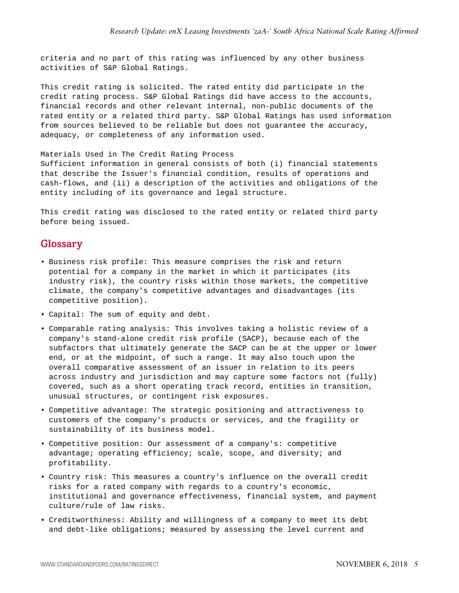criteria and no part of this rating was influenced by any other business activities of S&P Global Ratings.

This credit rating is solicited. The rated entity did participate in the credit rating process. S&P Global Ratings did have access to the accounts, financial records and other relevant internal, non-public documents of the rated entity or a related third party. S&P Global Ratings has used information from sources believed to be reliable but does not guarantee the accuracy, adequacy, or completeness of any information used.

#### Materials Used in The Credit Rating Process

Sufficient information in general consists of both (i) financial statements that describe the Issuer's financial condition, results of operations and cash-flows, and (ii) a description of the activities and obligations of the entity including of its governance and legal structure.

<span id="page-4-0"></span>This credit rating was disclosed to the rated entity or related third party before being issued.

#### Glossary

- Business risk profile: This measure comprises the risk and return potential for a company in the market in which it participates (its industry risk), the country risks within those markets, the competitive climate, the company's competitive advantages and disadvantages (its competitive position).
- Capital: The sum of equity and debt.
- Comparable rating analysis: This involves taking a holistic review of a company's stand-alone credit risk profile (SACP), because each of the subfactors that ultimately generate the SACP can be at the upper or lower end, or at the midpoint, of such a range. It may also touch upon the overall comparative assessment of an issuer in relation to its peers across industry and jurisdiction and may capture some factors not (fully) covered, such as a short operating track record, entities in transition, unusual structures, or contingent risk exposures.
- Competitive advantage: The strategic positioning and attractiveness to customers of the company's products or services, and the fragility or sustainability of its business model.
- Competitive position: Our assessment of a company's: competitive advantage; operating efficiency; scale, scope, and diversity; and profitability.
- Country risk: This measures a country's influence on the overall credit risks for a rated company with regards to a country's economic, institutional and governance effectiveness, financial system, and payment culture/rule of law risks.
- Creditworthiness: Ability and willingness of a company to meet its debt and debt-like obligations; measured by assessing the level current and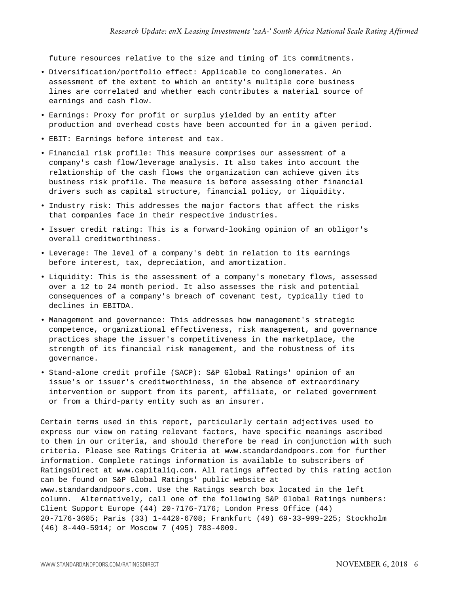future resources relative to the size and timing of its commitments.

- Diversification/portfolio effect: Applicable to conglomerates. An assessment of the extent to which an entity's multiple core business lines are correlated and whether each contributes a material source of earnings and cash flow.
- Earnings: Proxy for profit or surplus yielded by an entity after production and overhead costs have been accounted for in a given period.
- EBIT: Earnings before interest and tax.
- Financial risk profile: This measure comprises our assessment of a company's cash flow/leverage analysis. It also takes into account the relationship of the cash flows the organization can achieve given its business risk profile. The measure is before assessing other financial drivers such as capital structure, financial policy, or liquidity.
- Industry risk: This addresses the major factors that affect the risks that companies face in their respective industries.
- Issuer credit rating: This is a forward-looking opinion of an obligor's overall creditworthiness.
- Leverage: The level of a company's debt in relation to its earnings before interest, tax, depreciation, and amortization.
- Liquidity: This is the assessment of a company's monetary flows, assessed over a 12 to 24 month period. It also assesses the risk and potential consequences of a company's breach of covenant test, typically tied to declines in EBITDA.
- Management and governance: This addresses how management's strategic competence, organizational effectiveness, risk management, and governance practices shape the issuer's competitiveness in the marketplace, the strength of its financial risk management, and the robustness of its governance.
- Stand-alone credit profile (SACP): S&P Global Ratings' opinion of an issue's or issuer's creditworthiness, in the absence of extraordinary intervention or support from its parent, affiliate, or related government or from a third-party entity such as an insurer.

Certain terms used in this report, particularly certain adjectives used to express our view on rating relevant factors, have specific meanings ascribed to them in our criteria, and should therefore be read in conjunction with such criteria. Please see Ratings Criteria at www.standardandpoors.com for further information. Complete ratings information is available to subscribers of RatingsDirect at www.capitaliq.com. All ratings affected by this rating action can be found on S&P Global Ratings' public website at www.standardandpoors.com. Use the Ratings search box located in the left column. Alternatively, call one of the following S&P Global Ratings numbers: Client Support Europe (44) 20-7176-7176; London Press Office (44) 20-7176-3605; Paris (33) 1-4420-6708; Frankfurt (49) 69-33-999-225; Stockholm (46) 8-440-5914; or Moscow 7 (495) 783-4009.